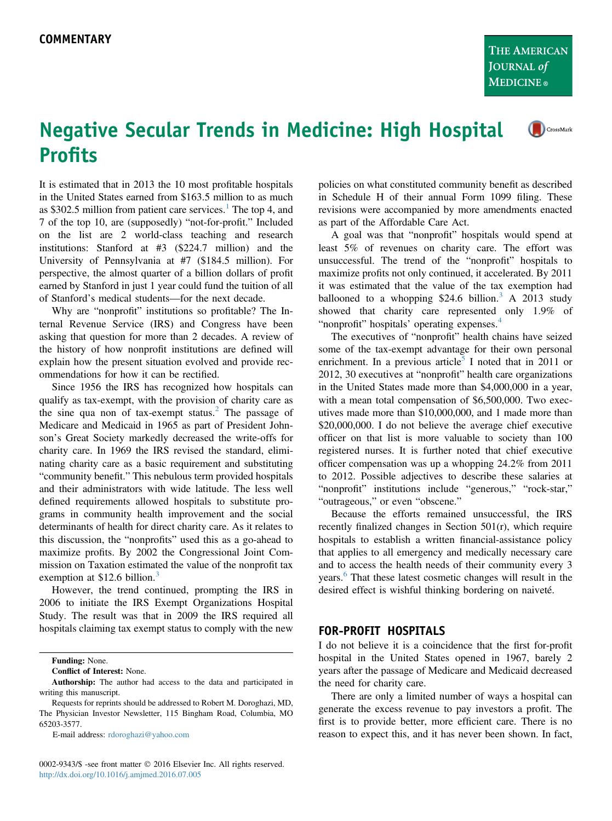## Negative Secular Trends in Medicine: High Hospital CrossMark **Profits**

It is estimated that in 2013 the 10 most profitable hospitals in the United States earned from \$163.5 million to as much as \$302.5 million from patient care services.<sup>[1](#page-1-0)</sup> The top 4, and 7 of the top 10, are (supposedly) "not-for-profit." Included on the list are 2 world-class teaching and research institutions: Stanford at #3 (\$224.7 million) and the University of Pennsylvania at #7 (\$184.5 million). For perspective, the almost quarter of a billion dollars of profit earned by Stanford in just 1 year could fund the tuition of all of Stanford's medical students—for the next decade.

Why are "nonprofit" institutions so profitable? The Internal Revenue Service (IRS) and Congress have been asking that question for more than 2 decades. A review of the history of how nonprofit institutions are defined will explain how the present situation evolved and provide recommendations for how it can be rectified.

Since 1956 the IRS has recognized how hospitals can qualify as tax-exempt, with the provision of charity care as the sine qua non of tax-exempt status.<sup>[2](#page-1-0)</sup> The passage of Medicare and Medicaid in 1965 as part of President Johnson's Great Society markedly decreased the write-offs for charity care. In 1969 the IRS revised the standard, eliminating charity care as a basic requirement and substituting "community benefit." This nebulous term provided hospitals and their administrators with wide latitude. The less well defined requirements allowed hospitals to substitute programs in community health improvement and the social determinants of health for direct charity care. As it relates to this discussion, the "nonprofits" used this as a go-ahead to maximize profits. By 2002 the Congressional Joint Commission on Taxation estimated the value of the nonprofit tax exemption at \$12.6 billion.<sup>[3](#page-1-0)</sup>

However, the trend continued, prompting the IRS in 2006 to initiate the IRS Exempt Organizations Hospital Study. The result was that in 2009 the IRS required all hospitals claiming tax exempt status to comply with the new

Funding: None.

Conflict of Interest: None.

E-mail address: [rdoroghazi@yahoo.com](mailto:rdoroghazi@yahoo.com)

0002-9343/\$ -see front matter © 2016 Elsevier Inc. All rights reserved. <http://dx.doi.org/10.1016/j.amjmed.2016.07.005>

policies on what constituted community benefit as described in Schedule H of their annual Form 1099 filing. These revisions were accompanied by more amendments enacted as part of the Affordable Care Act.

A goal was that "nonprofit" hospitals would spend at least 5% of revenues on charity care. The effort was unsuccessful. The trend of the "nonprofit" hospitals to maximize profits not only continued, it accelerated. By 2011 it was estimated that the value of the tax exemption had ballooned to a whopping \$24.6 billion.<sup>[3](#page-1-0)</sup> A 2013 study showed that charity care represented only 1.9% of "nonprofit" hospitals' operating expenses.<sup>[4](#page-1-0)</sup>

The executives of "nonprofit" health chains have seized some of the tax-exempt advantage for their own personal enrichment. In a previous article<sup>[5](#page-1-0)</sup> I noted that in 2011 or 2012, 30 executives at "nonprofit" health care organizations in the United States made more than \$4,000,000 in a year, with a mean total compensation of \$6,500,000. Two executives made more than \$10,000,000, and 1 made more than \$20,000,000. I do not believe the average chief executive officer on that list is more valuable to society than 100 registered nurses. It is further noted that chief executive officer compensation was up a whopping 24.2% from 2011 to 2012. Possible adjectives to describe these salaries at "nonprofit" institutions include "generous," "rock-star," "outrageous," or even "obscene."

Because the efforts remained unsuccessful, the IRS recently finalized changes in Section 501(r), which require hospitals to establish a written financial-assistance policy that applies to all emergency and medically necessary care and to access the health needs of their community every 3 years.<sup>[6](#page-1-0)</sup> That these latest cosmetic changes will result in the desired effect is wishful thinking bordering on naiveté.

## FOR-PROFIT HOSPITALS

I do not believe it is a coincidence that the first for-profit hospital in the United States opened in 1967, barely 2 years after the passage of Medicare and Medicaid decreased the need for charity care.

There are only a limited number of ways a hospital can generate the excess revenue to pay investors a profit. The first is to provide better, more efficient care. There is no reason to expect this, and it has never been shown. In fact,

Authorship: The author had access to the data and participated in writing this manuscript.

Requests for reprints should be addressed to Robert M. Doroghazi, MD, The Physician Investor Newsletter, 115 Bingham Road, Columbia, MO 65203-3577.